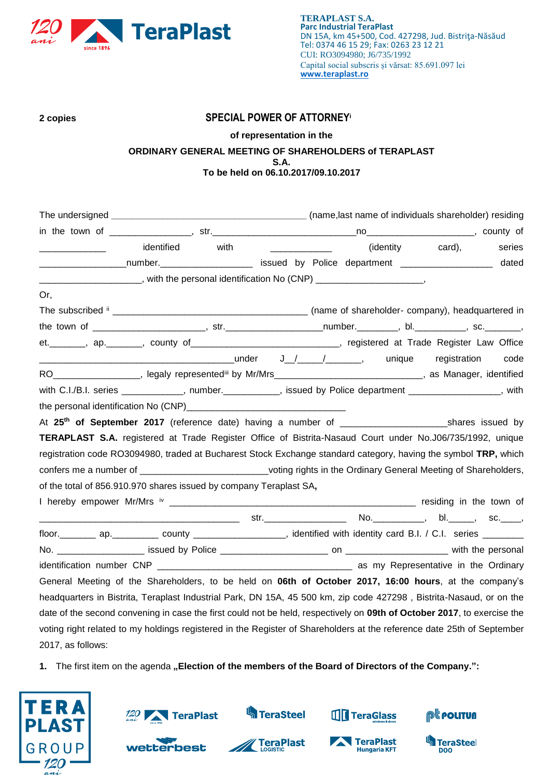

# **2 copies SPECIAL POWER OF ATTORNEY<sup>i</sup>**

## **of representation in the ORDINARY GENERAL MEETING OF SHAREHOLDERS of TERAPLAST S.A. To be held on 06.10.2017/09.10.2017**

|                                                                                                                              | identified | with | <u> 1980 - Johann Barbara, martin a</u> |  | (identity card), | series |
|------------------------------------------------------------------------------------------------------------------------------|------------|------|-----------------------------------------|--|------------------|--------|
| _____________________number.__________________________ issued by Police department _________________                         |            |      |                                         |  |                  | dated  |
| ____________________, with the personal identification No (CNP) ______________________,                                      |            |      |                                         |  |                  |        |
| Or,                                                                                                                          |            |      |                                         |  |                  |        |
|                                                                                                                              |            |      |                                         |  |                  |        |
|                                                                                                                              |            |      |                                         |  |                  |        |
| et. _______, ap. ______, county of ___________________________, registered at Trade Register Law Office                      |            |      |                                         |  |                  |        |
|                                                                                                                              |            |      |                                         |  |                  | code   |
| RO___________________, legaly representediii by Mr/Mrs_______________________________, as Manager, identified                |            |      |                                         |  |                  |        |
| with C.I./B.I. series ____________, number.__________, issued by Police department _______________, with                     |            |      |                                         |  |                  |        |
| the personal identification No (CNP)<br><u>[CNP]</u>                                                                         |            |      |                                         |  |                  |        |
|                                                                                                                              |            |      |                                         |  |                  |        |
| TERAPLAST S.A. registered at Trade Register Office of Bistrita-Nasaud Court under No.J06/735/1992, unique                    |            |      |                                         |  |                  |        |
| registration code RO3094980, traded at Bucharest Stock Exchange standard category, having the symbol TRP, which              |            |      |                                         |  |                  |        |
| confers me a number of ______________________________voting rights in the Ordinary General Meeting of Shareholders,          |            |      |                                         |  |                  |        |
| of the total of 856.910.970 shares issued by company Teraplast SA,                                                           |            |      |                                         |  |                  |        |
|                                                                                                                              |            |      |                                         |  |                  |        |
|                                                                                                                              |            |      |                                         |  |                  |        |
| floor. __________ ap. ____________ county ______________________, identified with identity card B.I. / C.I. series _________ |            |      |                                         |  |                  |        |
|                                                                                                                              |            |      |                                         |  |                  |        |
|                                                                                                                              |            |      |                                         |  |                  |        |
| General Meeting of the Shareholders, to be held on <b>06th of October 2017, 16:00 hours</b> , at the company's               |            |      |                                         |  |                  |        |
| headquarters in Bistrita, Teraplast Industrial Park, DN 15A, 45 500 km, zip code 427298, Bistrita-Nasaud, or on the          |            |      |                                         |  |                  |        |
| date of the second convening in case the first could not be held, respectively on 09th of October 2017, to exercise the      |            |      |                                         |  |                  |        |
| voting right related to my holdings registered in the Register of Shareholders at the reference date 25th of September       |            |      |                                         |  |                  |        |
| 2017, as follows:                                                                                                            |            |      |                                         |  |                  |        |
|                                                                                                                              |            |      |                                         |  |                  |        |

1. The first item on the agenda "Election of the members of the Board of Directors of the Company.":







**S**TeraSteel



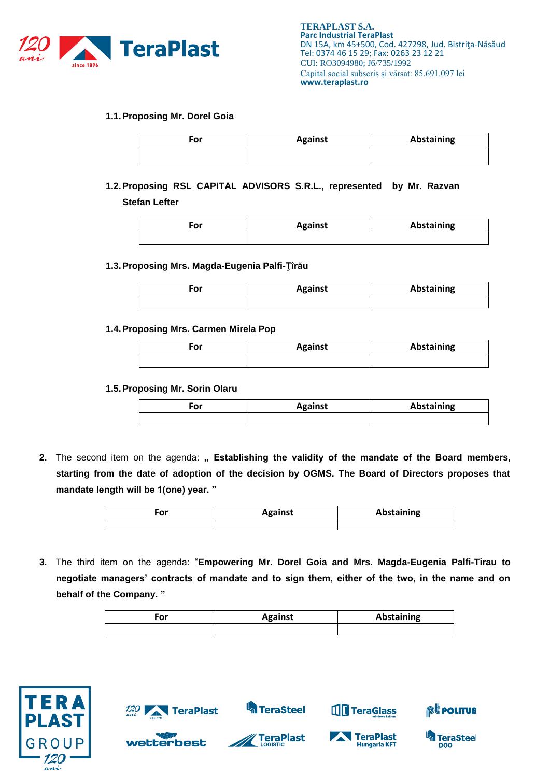

### **1.1.Proposing Mr. Dorel Goia**

| For | <b>Against</b> | <b>Abstaining</b> |
|-----|----------------|-------------------|
|     |                |                   |

**1.2.Proposing RSL CAPITAL ADVISORS S.R.L., represented by Mr. Razvan Stefan Lefter**

| 'or | <b>Against</b> | Abstaining |
|-----|----------------|------------|
|     |                |            |

#### **1.3.Proposing Mrs. Magda-Eugenia Palfi-Ţîrău**

| $ -$ | <b>Against</b> | Abstaining |
|------|----------------|------------|
|      |                |            |

#### **1.4.Proposing Mrs. Carmen Mirela Pop**

| ωr<br>υı | <b>Against</b> | Abstaining |
|----------|----------------|------------|
|          |                |            |

#### **1.5.Proposing Mr. Sorin Olaru**

| Ξor | <b>Against</b> | Abstaining |
|-----|----------------|------------|
|     |                |            |

2. The second item on the agenda: " Establishing the validity of the mandate of the Board members, **starting from the date of adoption of the decision by OGMS. The Board of Directors proposes that mandate length will be 1(one) year. "**

| or | <b>Against</b> | Abstaining |
|----|----------------|------------|
|    |                |            |

**3.** The third item on the agenda: "**Empowering Mr. Dorel Goia and Mrs. Magda-Eugenia Palfi-Tirau to negotiate managers' contracts of mandate and to sign them, either of the two, in the name and on behalf of the Company. "**

| or | <b>Against</b> | <b>Abstaining</b> |
|----|----------------|-------------------|
|    |                |                   |

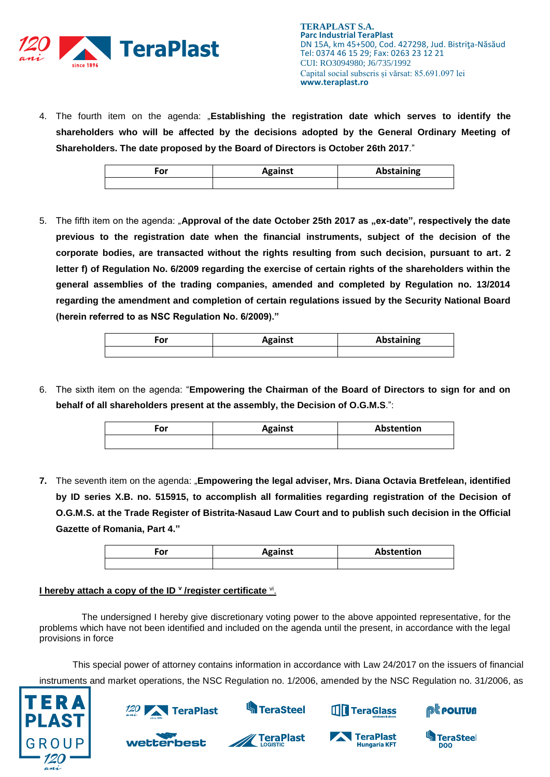

4. The fourth item on the agenda: "**Establishing the registration date which serves to identify the shareholders who will be affected by the decisions adopted by the General Ordinary Meeting of Shareholders. The date proposed by the Board of Directors is October 26th 2017**."

| n.<br>וט | <b>Against</b> | Abstaining |
|----------|----------------|------------|
|          |                |            |

5. The fifth item on the agenda: "Approval of the date October 25th 2017 as "ex-date", respectively the date **previous to the registration date when the financial instruments, subject of the decision of the corporate bodies, are transacted without the rights resulting from such decision, pursuant to art. 2 letter f) of Regulation No. 6/2009 regarding the exercise of certain rights of the shareholders within the general assemblies of the trading companies, amended and completed by Regulation no. 13/2014 regarding the amendment and completion of certain regulations issued by the Security National Board (herein referred to as NSC Regulation No. 6/2009)."**

| ∙or | <b>Against</b> | Abstaining |
|-----|----------------|------------|
|     |                |            |

6. The sixth item on the agenda: "**Empowering the Chairman of the Board of Directors to sign for and on behalf of all shareholders present at the assembly, the Decision of O.G.M.S**.":

| ∙or | <b>Against</b> | Abstention |
|-----|----------------|------------|
|     |                |            |

**7.** The seventh item on the agenda: "**Empowering the legal adviser, Mrs. Diana Octavia Bretfelean, identified by ID series X.B. no. 515915, to accomplish all formalities regarding registration of the Decision of O.G.M.S. at the Trade Register of Bistrita-Nasaud Law Court and to publish such decision in the Official Gazette of Romania, Part 4."**

| σr<br>יש | <b>Against</b> | Abstention |
|----------|----------------|------------|
|          |                |            |

## **I hereby attach a copy of the ID <sup>v</sup> /register certificate <sup>vi</sup>.**

**TeraPlast** 

wetterbest

The undersigned I hereby give discretionary voting power to the above appointed representative, for the problems which have not been identified and included on the agenda until the present, in accordance with the legal provisions in force

This special power of attorney contains information in accordance with Law 24/2017 on the issuers of financial instruments and market operations, the NSC Regulation no. 1/2006, amended by the NSC Regulation no. 31/2006, as





**Sand TeraSteel** 



**THE TeraGlass** 



®<mark>t polituß</mark>